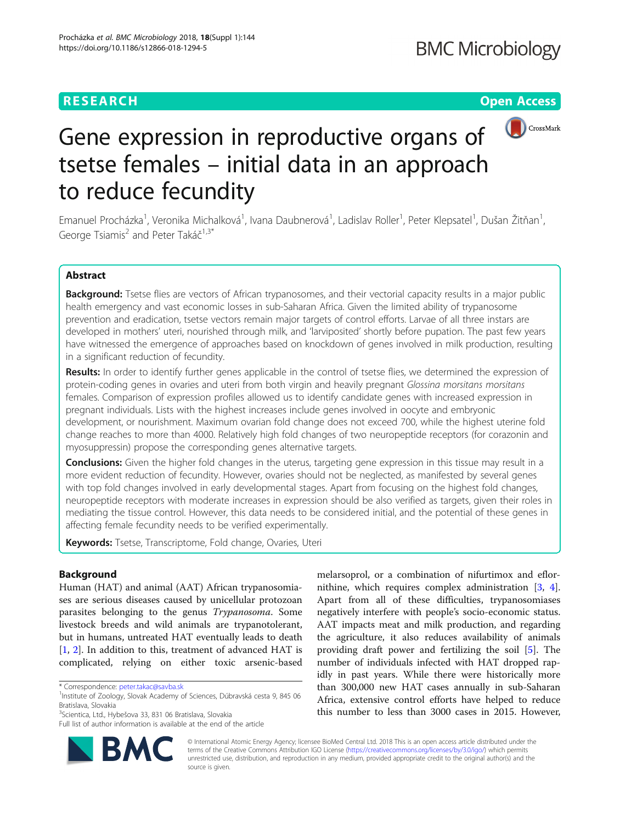# **RESEARCH CHEAR CHEAR CHEAR CHEAR CHEAR CHEAR CHEAR CHEAR CHEAR CHEAR CHEAR CHEAR CHEAR CHEAR CHEAR CHEAR CHEAR**



# Gene expression in reproductive organs of tsetse females – initial data in an approach to reduce fecundity

Emanuel Procházka<sup>1</sup>, Veronika Michalková<sup>1</sup>, Ivana Daubnerová<sup>1</sup>, Ladislav Roller<sup>1</sup>, Peter Klepsatel<sup>1</sup>, Dušan Žitňan<sup>1</sup> , George Tsiamis<sup>2</sup> and Peter Takáč<sup>1,3\*</sup>

# Abstract

Background: Tsetse flies are vectors of African trypanosomes, and their vectorial capacity results in a major public health emergency and vast economic losses in sub-Saharan Africa. Given the limited ability of trypanosome prevention and eradication, tsetse vectors remain major targets of control efforts. Larvae of all three instars are developed in mothers' uteri, nourished through milk, and 'larviposited' shortly before pupation. The past few years have witnessed the emergence of approaches based on knockdown of genes involved in milk production, resulting in a significant reduction of fecundity.

Results: In order to identify further genes applicable in the control of tsetse flies, we determined the expression of protein-coding genes in ovaries and uteri from both virgin and heavily pregnant Glossina morsitans morsitans females. Comparison of expression profiles allowed us to identify candidate genes with increased expression in pregnant individuals. Lists with the highest increases include genes involved in oocyte and embryonic development, or nourishment. Maximum ovarian fold change does not exceed 700, while the highest uterine fold change reaches to more than 4000. Relatively high fold changes of two neuropeptide receptors (for corazonin and myosuppressin) propose the corresponding genes alternative targets.

**Conclusions:** Given the higher fold changes in the uterus, targeting gene expression in this tissue may result in a more evident reduction of fecundity. However, ovaries should not be neglected, as manifested by several genes with top fold changes involved in early developmental stages. Apart from focusing on the highest fold changes, neuropeptide receptors with moderate increases in expression should be also verified as targets, given their roles in mediating the tissue control. However, this data needs to be considered initial, and the potential of these genes in affecting female fecundity needs to be verified experimentally.

Keywords: Tsetse, Transcriptome, Fold change, Ovaries, Uteri

# Background

Human (HAT) and animal (AAT) African trypanosomiases are serious diseases caused by unicellular protozoan parasites belonging to the genus Trypanosoma. Some livestock breeds and wild animals are trypanotolerant, but in humans, untreated HAT eventually leads to death [[1,](#page-7-0) [2](#page-7-0)]. In addition to this, treatment of advanced HAT is complicated, relying on either toxic arsenic-based

Full list of author information is available at the end of the article



melarsoprol, or a combination of nifurtimox and eflornithine, which requires complex administration [\[3](#page-7-0), [4](#page-7-0)]. Apart from all of these difficulties, trypanosomiases negatively interfere with people's socio-economic status. AAT impacts meat and milk production, and regarding the agriculture, it also reduces availability of animals providing draft power and fertilizing the soil [\[5](#page-7-0)]. The number of individuals infected with HAT dropped rapidly in past years. While there were historically more than 300,000 new HAT cases annually in sub-Saharan Africa, extensive control efforts have helped to reduce this number to less than 3000 cases in 2015. However,

© International Atomic Energy Agency; licensee BioMed Central Ltd. 2018 This is an open access article distributed under the terms of the Creative Commons Attribution IGO License [\(https://creativecommons.org/licenses/by/3.0/igo/\)](https://creativecommons.org/licenses/by/3.0/igo/) which permits unrestricted use, distribution, and reproduction in any medium, provided appropriate credit to the original author(s) and the source is given.

<sup>\*</sup> Correspondence: [peter.takac@savba.sk](mailto:peter.takac@savba.sk) <sup>1</sup>

<sup>&</sup>lt;sup>1</sup>Institute of Zoology, Slovak Academy of Sciences, Dúbravská cesta 9, 845 06 Bratislava, Slovakia

<sup>&</sup>lt;sup>3</sup>Scientica, Ltd., Hybešova 33, 831 06 Bratislava, Slovakia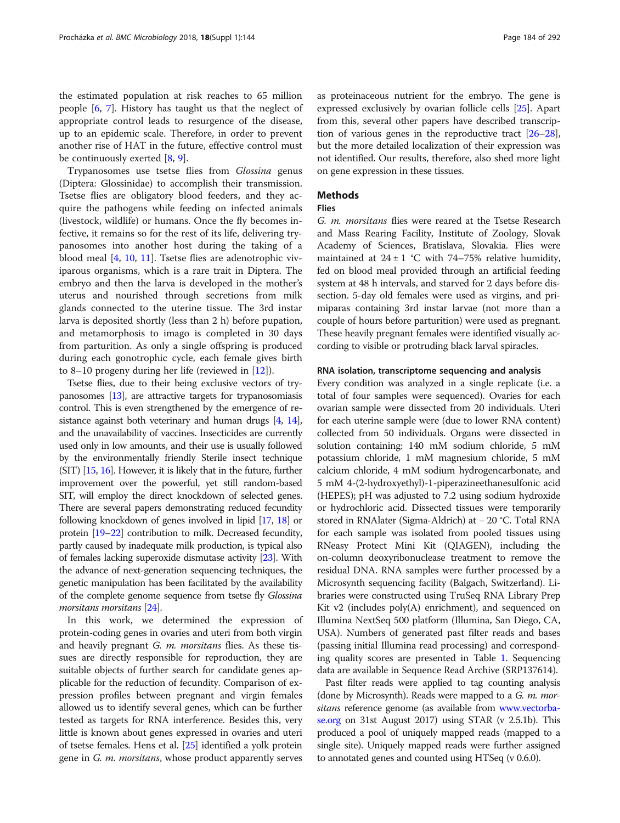the estimated population at risk reaches to 65 million people [[6,](#page-7-0) [7\]](#page-7-0). History has taught us that the neglect of appropriate control leads to resurgence of the disease, up to an epidemic scale. Therefore, in order to prevent another rise of HAT in the future, effective control must be continuously exerted [[8,](#page-7-0) [9\]](#page-7-0).

Trypanosomes use tsetse flies from Glossina genus (Diptera: Glossinidae) to accomplish their transmission. Tsetse flies are obligatory blood feeders, and they acquire the pathogens while feeding on infected animals (livestock, wildlife) or humans. Once the fly becomes infective, it remains so for the rest of its life, delivering trypanosomes into another host during the taking of a blood meal [\[4](#page-7-0), [10,](#page-7-0) [11\]](#page-7-0). Tsetse flies are adenotrophic viviparous organisms, which is a rare trait in Diptera. The embryo and then the larva is developed in the mother's uterus and nourished through secretions from milk glands connected to the uterine tissue. The 3rd instar larva is deposited shortly (less than 2 h) before pupation, and metamorphosis to imago is completed in 30 days from parturition. As only a single offspring is produced during each gonotrophic cycle, each female gives birth to 8–10 progeny during her life (reviewed in [\[12\]](#page-7-0)).

Tsetse flies, due to their being exclusive vectors of trypanosomes [\[13\]](#page-7-0), are attractive targets for trypanosomiasis control. This is even strengthened by the emergence of re-sistance against both veterinary and human drugs [\[4](#page-7-0), [14](#page-7-0)], and the unavailability of vaccines. Insecticides are currently used only in low amounts, and their use is usually followed by the environmentally friendly Sterile insect technique (SIT) [[15](#page-7-0), [16](#page-7-0)]. However, it is likely that in the future, further improvement over the powerful, yet still random-based SIT, will employ the direct knockdown of selected genes. There are several papers demonstrating reduced fecundity following knockdown of genes involved in lipid [\[17,](#page-7-0) [18\]](#page-7-0) or protein [\[19](#page-7-0)–[22\]](#page-8-0) contribution to milk. Decreased fecundity, partly caused by inadequate milk production, is typical also of females lacking superoxide dismutase activity [[23](#page-8-0)]. With the advance of next-generation sequencing techniques, the genetic manipulation has been facilitated by the availability of the complete genome sequence from tsetse fly Glossina morsitans morsitans [\[24\]](#page-8-0).

In this work, we determined the expression of protein-coding genes in ovaries and uteri from both virgin and heavily pregnant *G. m. morsitans* flies. As these tissues are directly responsible for reproduction, they are suitable objects of further search for candidate genes applicable for the reduction of fecundity. Comparison of expression profiles between pregnant and virgin females allowed us to identify several genes, which can be further tested as targets for RNA interference. Besides this, very little is known about genes expressed in ovaries and uteri of tsetse females. Hens et al. [[25](#page-8-0)] identified a yolk protein gene in G. m. morsitans, whose product apparently serves

as proteinaceous nutrient for the embryo. The gene is expressed exclusively by ovarian follicle cells [[25](#page-8-0)]. Apart from this, several other papers have described transcription of various genes in the reproductive tract [\[26](#page-8-0)–[28](#page-8-0)], but the more detailed localization of their expression was not identified. Our results, therefore, also shed more light on gene expression in these tissues.

# Methods

# Flies

G. m. morsitans flies were reared at the Tsetse Research and Mass Rearing Facility, Institute of Zoology, Slovak Academy of Sciences, Bratislava, Slovakia. Flies were maintained at  $24 \pm 1$  °C with 74–75% relative humidity, fed on blood meal provided through an artificial feeding system at 48 h intervals, and starved for 2 days before dissection. 5-day old females were used as virgins, and primiparas containing 3rd instar larvae (not more than a couple of hours before parturition) were used as pregnant. These heavily pregnant females were identified visually according to visible or protruding black larval spiracles.

### RNA isolation, transcriptome sequencing and analysis

Every condition was analyzed in a single replicate (i.e. a total of four samples were sequenced). Ovaries for each ovarian sample were dissected from 20 individuals. Uteri for each uterine sample were (due to lower RNA content) collected from 50 individuals. Organs were dissected in solution containing: 140 mM sodium chloride, 5 mM potassium chloride, 1 mM magnesium chloride, 5 mM calcium chloride, 4 mM sodium hydrogencarbonate, and 5 mM 4-(2-hydroxyethyl)-1-piperazineethanesulfonic acid (HEPES); pH was adjusted to 7.2 using sodium hydroxide or hydrochloric acid. Dissected tissues were temporarily stored in RNAlater (Sigma-Aldrich) at − 20 °C. Total RNA for each sample was isolated from pooled tissues using RNeasy Protect Mini Kit (QIAGEN), including the on-column deoxyribonuclease treatment to remove the residual DNA. RNA samples were further processed by a Microsynth sequencing facility (Balgach, Switzerland). Libraries were constructed using TruSeq RNA Library Prep Kit v2 (includes poly(A) enrichment), and sequenced on Illumina NextSeq 500 platform (Illumina, San Diego, CA, USA). Numbers of generated past filter reads and bases (passing initial Illumina read processing) and corresponding quality scores are presented in Table [1.](#page-2-0) Sequencing data are available in Sequence Read Archive (SRP137614).

Past filter reads were applied to tag counting analysis (done by Microsynth). Reads were mapped to a *G. m. mor*sitans reference genome (as available from [www.vectorba](http://www.vectorbase.org)[se.org](http://www.vectorbase.org) on 31st August 2017) using STAR (v 2.5.1b). This produced a pool of uniquely mapped reads (mapped to a single site). Uniquely mapped reads were further assigned to annotated genes and counted using HTSeq (v 0.6.0).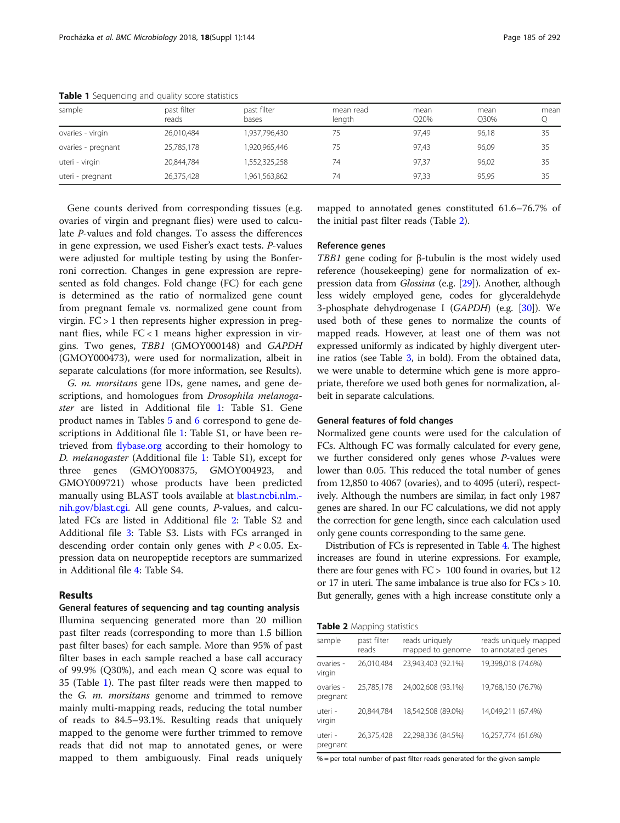| sample             | past filter<br>reads | past filter<br>bases | mean read<br>length | mean<br>O <sub>20%</sub> | mean<br>O30% | mean |
|--------------------|----------------------|----------------------|---------------------|--------------------------|--------------|------|
| ovaries - virgin   | 26,010,484           | 1,937,796,430        | 75                  | 97.49                    | 96,18        | 35   |
| ovaries - pregnant | 25,785,178           | 1,920,965,446        | 75                  | 97.43                    | 96,09        | 35   |
| uteri - virgin     | 20,844,784           | 1,552,325,258        | 74                  | 97.37                    | 96.02        | 35   |
| uteri - pregnant   | 26,375,428           | 1,961,563,862        | 74                  | 97.33                    | 95.95        | 35   |

<span id="page-2-0"></span>Table 1 Sequencing and quality score statistics

Gene counts derived from corresponding tissues (e.g. ovaries of virgin and pregnant flies) were used to calculate P-values and fold changes. To assess the differences in gene expression, we used Fisher's exact tests. P-values were adjusted for multiple testing by using the Bonferroni correction. Changes in gene expression are represented as fold changes. Fold change (FC) for each gene is determined as the ratio of normalized gene count from pregnant female vs. normalized gene count from virgin. FC > 1 then represents higher expression in pregnant flies, while FC < 1 means higher expression in virgins. Two genes, TBB1 (GMOY000148) and GAPDH (GMOY000473), were used for normalization, albeit in separate calculations (for more information, see Results).

G. m. morsitans gene IDs, gene names, and gene descriptions, and homologues from Drosophila melanogaster are listed in Additional file [1](#page-7-0): Table S1. Gene product names in Tables [5](#page-5-0) and [6](#page-5-0) correspond to gene descriptions in Additional file [1](#page-7-0): Table S1, or have been retrieved from [flybase.org](http://flybase.org) according to their homology to D. melanogaster (Additional file [1](#page-7-0): Table S1), except for three genes (GMOY008375, GMOY004923, and GMOY009721) whose products have been predicted manually using BLAST tools available at [blast.ncbi.nlm.](http://blast.ncbi.nlm.nih.gov/blast.cgi) [nih.gov/blast.cgi.](http://blast.ncbi.nlm.nih.gov/blast.cgi) All gene counts, P-values, and calculated FCs are listed in Additional file [2](#page-7-0): Table S2 and Additional file [3](#page-7-0): Table S3. Lists with FCs arranged in descending order contain only genes with  $P < 0.05$ . Expression data on neuropeptide receptors are summarized in Additional file [4:](#page-7-0) Table S4.

# Results

General features of sequencing and tag counting analysis Illumina sequencing generated more than 20 million past filter reads (corresponding to more than 1.5 billion past filter bases) for each sample. More than 95% of past filter bases in each sample reached a base call accuracy of 99.9% (Q30%), and each mean Q score was equal to 35 (Table 1). The past filter reads were then mapped to the G. m. morsitans genome and trimmed to remove mainly multi-mapping reads, reducing the total number of reads to 84.5–93.1%. Resulting reads that uniquely mapped to the genome were further trimmed to remove reads that did not map to annotated genes, or were mapped to them ambiguously. Final reads uniquely

mapped to annotated genes constituted 61.6–76.7% of the initial past filter reads (Table 2).

#### Reference genes

TBB1 gene coding for β-tubulin is the most widely used reference (housekeeping) gene for normalization of ex-pression data from Glossina (e.g. [\[29\]](#page-8-0)). Another, although less widely employed gene, codes for glyceraldehyde 3-phosphate dehydrogenase I (GAPDH) (e.g. [\[30\]](#page-8-0)). We used both of these genes to normalize the counts of mapped reads. However, at least one of them was not expressed uniformly as indicated by highly divergent uterine ratios (see Table [3](#page-3-0), in bold). From the obtained data, we were unable to determine which gene is more appropriate, therefore we used both genes for normalization, albeit in separate calculations.

# General features of fold changes

Normalized gene counts were used for the calculation of FCs. Although FC was formally calculated for every gene, we further considered only genes whose  $P$ -values were lower than 0.05. This reduced the total number of genes from 12,850 to 4067 (ovaries), and to 4095 (uteri), respectively. Although the numbers are similar, in fact only 1987 genes are shared. In our FC calculations, we did not apply the correction for gene length, since each calculation used only gene counts corresponding to the same gene.

Distribution of FCs is represented in Table [4](#page-3-0). The highest increases are found in uterine expressions. For example, there are four genes with FC > 100 found in ovaries, but 12 or 17 in uteri. The same imbalance is true also for FCs > 10. But generally, genes with a high increase constitute only a

Table 2 Mapping statistics

| sample                | past filter<br>reads | reads uniquely<br>mapped to genome | reads uniquely mapped<br>to annotated genes |
|-----------------------|----------------------|------------------------------------|---------------------------------------------|
| ovaries -<br>virgin   | 26,010,484           | 23,943,403 (92.1%)                 | 19,398,018 (74.6%)                          |
| ovaries -<br>pregnant | 25,785,178           | 24,002,608 (93.1%)                 | 19,768,150 (76.7%)                          |
| uteri -<br>virgin     | 20,844,784           | 18,542,508 (89.0%)                 | 14,049,211 (67.4%)                          |
| uteri -<br>pregnant   | 26,375,428           | 22,298,336 (84.5%)                 | 16,257,774 (61.6%)                          |

% = per total number of past filter reads generated for the given sample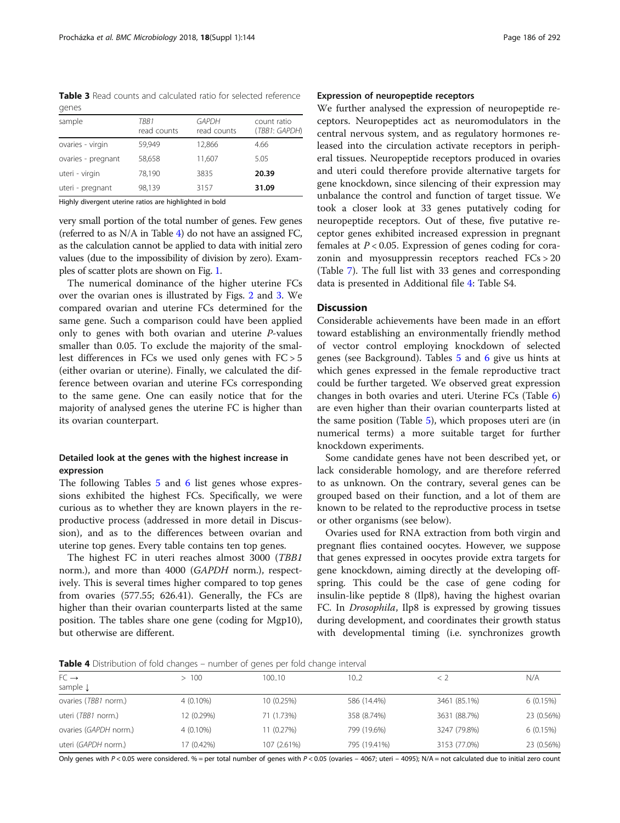<span id="page-3-0"></span>Table 3 Read counts and calculated ratio for selected reference genes

| sample             | TRR1<br>read counts | <b>GAPDH</b><br>read counts | count ratio<br>(TBB1: GAPDH) |
|--------------------|---------------------|-----------------------------|------------------------------|
| ovaries - virgin   | 59.949              | 12,866                      | 4.66                         |
| ovaries - pregnant | 58,658              | 11,607                      | 5.05                         |
| uteri - virgin     | 78,190              | 3835                        | 20.39                        |
| uteri - pregnant   | 98,139              | 3157                        | 31.09                        |
|                    |                     |                             |                              |

Highly divergent uterine ratios are highlighted in bold

very small portion of the total number of genes. Few genes (referred to as N/A in Table 4) do not have an assigned FC, as the calculation cannot be applied to data with initial zero values (due to the impossibility of division by zero). Examples of scatter plots are shown on Fig. [1](#page-4-0).

The numerical dominance of the higher uterine FCs over the ovarian ones is illustrated by Figs. [2](#page-4-0) and [3.](#page-5-0) We compared ovarian and uterine FCs determined for the same gene. Such a comparison could have been applied only to genes with both ovarian and uterine P-values smaller than 0.05. To exclude the majority of the smallest differences in FCs we used only genes with FC > 5 (either ovarian or uterine). Finally, we calculated the difference between ovarian and uterine FCs corresponding to the same gene. One can easily notice that for the majority of analysed genes the uterine FC is higher than its ovarian counterpart.

# Detailed look at the genes with the highest increase in expression

The following Tables [5](#page-5-0) and [6](#page-5-0) list genes whose expressions exhibited the highest FCs. Specifically, we were curious as to whether they are known players in the reproductive process (addressed in more detail in Discussion), and as to the differences between ovarian and uterine top genes. Every table contains ten top genes.

The highest FC in uteri reaches almost 3000 (TBB1 norm.), and more than 4000 (GAPDH norm.), respectively. This is several times higher compared to top genes from ovaries (577.55; 626.41). Generally, the FCs are higher than their ovarian counterparts listed at the same position. The tables share one gene (coding for Mgp10), but otherwise are different.

# Expression of neuropeptide receptors

We further analysed the expression of neuropeptide receptors. Neuropeptides act as neuromodulators in the central nervous system, and as regulatory hormones released into the circulation activate receptors in peripheral tissues. Neuropeptide receptors produced in ovaries and uteri could therefore provide alternative targets for gene knockdown, since silencing of their expression may unbalance the control and function of target tissue. We took a closer look at 33 genes putatively coding for neuropeptide receptors. Out of these, five putative receptor genes exhibited increased expression in pregnant females at  $P < 0.05$ . Expression of genes coding for corazonin and myosuppressin receptors reached FCs > 20 (Table [7\)](#page-6-0). The full list with 33 genes and corresponding data is presented in Additional file [4:](#page-7-0) Table S4.

# **Discussion**

Considerable achievements have been made in an effort toward establishing an environmentally friendly method of vector control employing knockdown of selected genes (see Background). Tables [5](#page-5-0) and [6](#page-5-0) give us hints at which genes expressed in the female reproductive tract could be further targeted. We observed great expression changes in both ovaries and uteri. Uterine FCs (Table [6](#page-5-0)) are even higher than their ovarian counterparts listed at the same position (Table [5](#page-5-0)), which proposes uteri are (in numerical terms) a more suitable target for further knockdown experiments.

Some candidate genes have not been described yet, or lack considerable homology, and are therefore referred to as unknown. On the contrary, several genes can be grouped based on their function, and a lot of them are known to be related to the reproductive process in tsetse or other organisms (see below).

Ovaries used for RNA extraction from both virgin and pregnant flies contained oocytes. However, we suppose that genes expressed in oocytes provide extra targets for gene knockdown, aiming directly at the developing offspring. This could be the case of gene coding for insulin-like peptide 8 (Ilp8), having the highest ovarian FC. In Drosophila, Ilp8 is expressed by growing tissues during development, and coordinates their growth status with developmental timing (i.e. synchronizes growth

Table 4 Distribution of fold changes – number of genes per fold change interval

| $FC \rightarrow$      | 100         | 100.10      | 10.2         |              | N/A        |
|-----------------------|-------------|-------------|--------------|--------------|------------|
| sample $\downarrow$   |             |             |              |              |            |
| ovaries (TBB1 norm.)  | $4(0.10\%)$ | 10 (0.25%)  | 586 (14.4%)  | 3461 (85.1%) | 6(0.15%)   |
| uteri (TBB1 norm.)    | 12 (0.29%)  | 71 (1.73%)  | 358 (8.74%)  | 3631 (88.7%) | 23 (0.56%) |
| ovaries (GAPDH norm.) | 4 (0.10%)   | 11 (0.27%)  | 799 (19.6%)  | 3247 (79.8%) | 6(0.15%)   |
| uteri (GAPDH norm.)   | 17 (0.42%)  | 107 (2.61%) | 795 (19.41%) | 3153 (77.0%) | 23 (0.56%) |
|                       |             |             |              |              |            |

Only genes with P < 0.05 were considered. % = per total number of genes with P < 0.05 (ovaries - 4067; uteri - 4095); N/A = not calculated due to initial zero count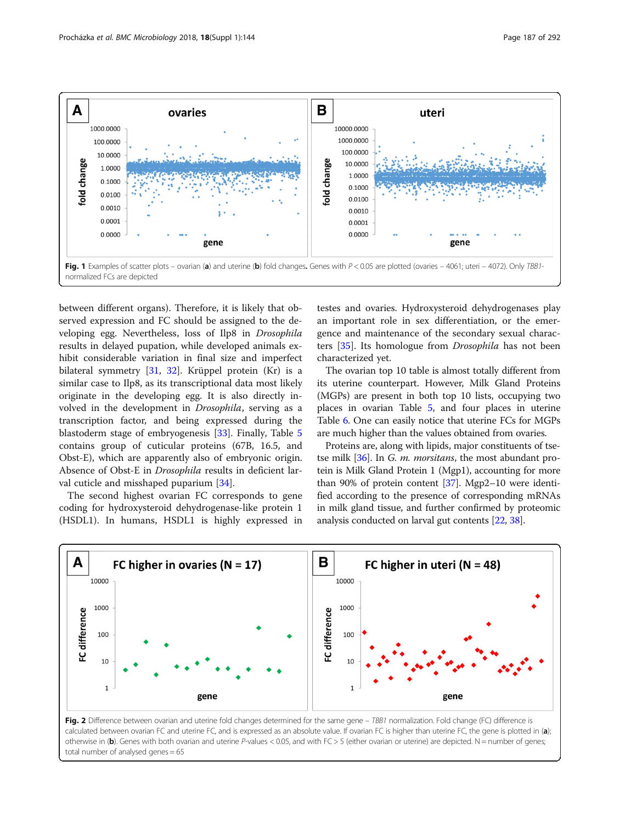<span id="page-4-0"></span>

between different organs). Therefore, it is likely that observed expression and FC should be assigned to the developing egg. Nevertheless, loss of Ilp8 in Drosophila results in delayed pupation, while developed animals exhibit considerable variation in final size and imperfect bilateral symmetry [\[31,](#page-8-0) [32\]](#page-8-0). Krüppel protein (Kr) is a similar case to Ilp8, as its transcriptional data most likely originate in the developing egg. It is also directly involved in the development in Drosophila, serving as a transcription factor, and being expressed during the blastoderm stage of embryogenesis [[33](#page-8-0)]. Finally, Table [5](#page-5-0) contains group of cuticular proteins (67B, 16.5, and Obst-E), which are apparently also of embryonic origin. Absence of Obst-E in Drosophila results in deficient larval cuticle and misshaped puparium [[34](#page-8-0)].

The second highest ovarian FC corresponds to gene coding for hydroxysteroid dehydrogenase-like protein 1 (HSDL1). In humans, HSDL1 is highly expressed in testes and ovaries. Hydroxysteroid dehydrogenases play an important role in sex differentiation, or the emergence and maintenance of the secondary sexual characters [\[35\]](#page-8-0). Its homologue from Drosophila has not been characterized yet.

The ovarian top 10 table is almost totally different from its uterine counterpart. However, Milk Gland Proteins (MGPs) are present in both top 10 lists, occupying two places in ovarian Table [5,](#page-5-0) and four places in uterine Table [6](#page-5-0). One can easily notice that uterine FCs for MGPs are much higher than the values obtained from ovaries.

Proteins are, along with lipids, major constituents of tse-tse milk [\[36\]](#page-8-0). In G. *m. morsitans*, the most abundant protein is Milk Gland Protein 1 (Mgp1), accounting for more than 90% of protein content [\[37\]](#page-8-0). Mgp2–10 were identified according to the presence of corresponding mRNAs in milk gland tissue, and further confirmed by proteomic analysis conducted on larval gut contents [\[22](#page-8-0), [38](#page-8-0)].



Fig. 2 Difference between ovarian and uterine fold changes determined for the same gene – TBB1 normalization. Fold change (FC) difference is calculated between ovarian FC and uterine FC, and is expressed as an absolute value. If ovarian FC is higher than uterine FC, the gene is plotted in (a); otherwise in (b). Genes with both ovarian and uterine P-values < 0.05, and with  $FC > 5$  (either ovarian or uterine) are depicted. N = number of genes; total number of analysed genes = 65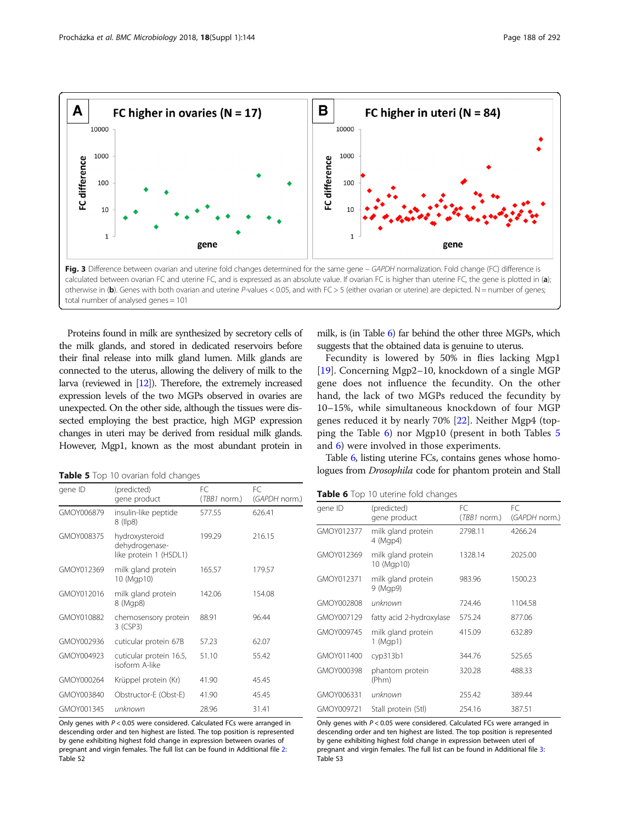<span id="page-5-0"></span>

Proteins found in milk are synthesized by secretory cells of the milk glands, and stored in dedicated reservoirs before their final release into milk gland lumen. Milk glands are connected to the uterus, allowing the delivery of milk to the larva (reviewed in [\[12\]](#page-7-0)). Therefore, the extremely increased expression levels of the two MGPs observed in ovaries are unexpected. On the other side, although the tissues were dissected employing the best practice, high MGP expression changes in uteri may be derived from residual milk glands. However, Mgp1, known as the most abundant protein in

milk, is (in Table 6) far behind the other three MGPs, which suggests that the obtained data is genuine to uterus.

Fecundity is lowered by 50% in flies lacking Mgp1 [[19\]](#page-7-0). Concerning Mgp2–10, knockdown of a single MGP gene does not influence the fecundity. On the other hand, the lack of two MGPs reduced the fecundity by 10–15%, while simultaneous knockdown of four MGP genes reduced it by nearly 70% [[22\]](#page-8-0). Neither Mgp4 (topping the Table 6) nor Mgp10 (present in both Tables 5 and 6) were involved in those experiments.

Table 6, listing uterine FCs, contains genes whose homologues from Drosophila code for phantom protein and Stall

Table 5 Top 10 ovarian fold changes

| gene ID    | (predicted)                                                | FC.            | FC.           |
|------------|------------------------------------------------------------|----------------|---------------|
|            | gene product                                               | $(TBB1$ norm.) | (GAPDH norm.) |
| GMOY006879 | insulin-like peptide<br>8 (llp8)                           | 577.55         | 626.41        |
| GMOY008375 | hydroxysteroid<br>dehydrogenase-<br>like protein 1 (HSDL1) | 199.29         | 216.15        |
| GMOY012369 | milk gland protein<br>10 (Mgp10)                           | 165.57         | 179.57        |
| GMOY012016 | milk gland protein<br>8 (Mgp8)                             | 142.06         | 154.08        |
| GMOY010882 | chemosensory protein<br>3 (CSP3)                           | 88.91          | 96.44         |
| GMOY002936 | cuticular protein 67B                                      | 57.23          | 62.07         |
| GMOY004923 | cuticular protein 16.5,<br>isoform A-like                  | 51.10          | 55.42         |
| GMOY000264 | Krüppel protein (Kr)                                       | 41.90          | 45.45         |
| GMOY003840 | Obstructor-E (Obst-E)                                      | 41.90          | 45.45         |
| GMOY001345 | unknown                                                    | 28.96          | 31.41         |

Only genes with P < 0.05 were considered. Calculated FCs were arranged in descending order and ten highest are listed. The top position is represented by gene exhibiting highest fold change in expression between ovaries of pregnant and virgin females. The full list can be found in Additional file [2](#page-7-0): Table S2

Table 6 Top 10 uterine fold changes

| gene ID    | (predicted)                      | FC             | FC.           |
|------------|----------------------------------|----------------|---------------|
|            | gene product                     | $(TBB1$ norm.) | (GAPDH norm.) |
| GMOY012377 | milk gland protein<br>4 (Mgp4)   | 2798.11        | 4266.24       |
| GMOY012369 | milk gland protein<br>10 (Mgp10) | 1328.14        | 2025.00       |
| GMOY012371 | milk gland protein<br>9 (Mgp9)   | 983.96         | 1500.23       |
| GMOY002808 | unknown                          | 724.46         | 1104.58       |
| GMOY007129 | fatty acid 2-hydroxylase         | 575.24         | 877.06        |
| GMOY009745 | milk gland protein<br>1 (Mgp1)   | 415.09         | 632.89        |
| GMOY011400 | cyp313b1                         | 344.76         | 525.65        |
| GMOY000398 | phantom protein<br>(Phm)         | 320.28         | 488.33        |
| GMOY006331 | unknown                          | 255.42         | 389.44        |
| GMOY009721 | Stall protein (Stl)              | 254.16         | 387.51        |

Only genes with P < 0.05 were considered. Calculated FCs were arranged in descending order and ten highest are listed. The top position is represented by gene exhibiting highest fold change in expression between uteri of pregnant and virgin females. The full list can be found in Additional file [3](#page-7-0): Table S3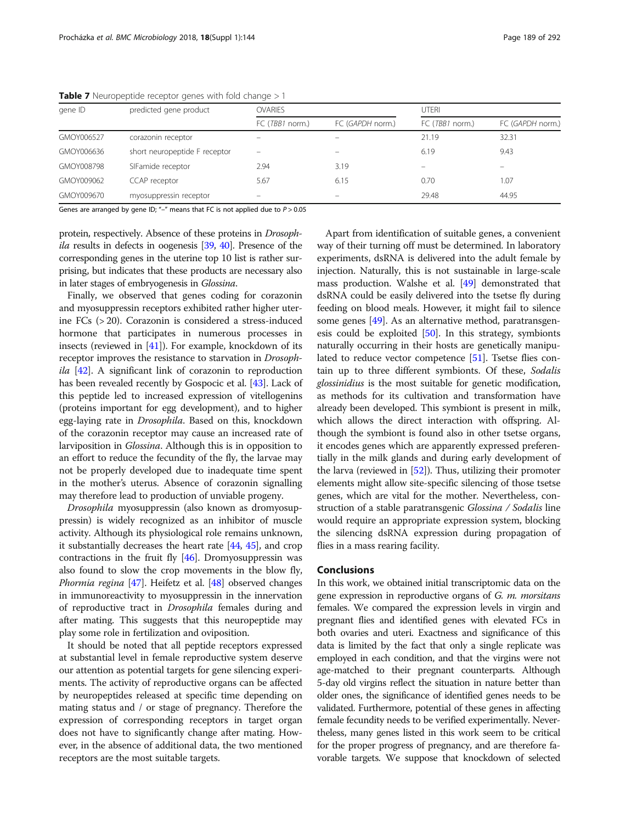| gene ID    | predicted gene product        | <b>OVARIES</b>  |                          |                 | UTFRI            |  |
|------------|-------------------------------|-----------------|--------------------------|-----------------|------------------|--|
|            |                               | FC (TBB1 norm.) | FC (GAPDH norm.)         | FC (TBB1 norm.) | FC (GAPDH norm.) |  |
| GMOY006527 | corazonin receptor            | -               | $\overline{\phantom{0}}$ | 21.19           | 32.31            |  |
| GMOY006636 | short neuropeptide F receptor |                 |                          | 6.19            | 9.43             |  |
| GMOY008798 | SIFamide receptor             | 2.94            | 3.19                     |                 |                  |  |
| GMOY009062 | CCAP receptor                 | 5.67            | 6.15                     | 0.70            | 1.07             |  |
| GMOY009670 | myosuppressin receptor        |                 | $\overline{\phantom{m}}$ | 29.48           | 44.95            |  |

<span id="page-6-0"></span>**Table 7** Neuropeptide receptor genes with fold change  $>1$ 

Genes are arranged by gene ID; "-" means that FC is not applied due to  $P > 0.05$ 

protein, respectively. Absence of these proteins in Drosoph-ila results in defects in oogenesis [\[39,](#page-8-0) [40\]](#page-8-0). Presence of the corresponding genes in the uterine top 10 list is rather surprising, but indicates that these products are necessary also in later stages of embryogenesis in Glossina.

Finally, we observed that genes coding for corazonin and myosuppressin receptors exhibited rather higher uterine FCs (> 20). Corazonin is considered a stress-induced hormone that participates in numerous processes in insects (reviewed in [\[41\]](#page-8-0)). For example, knockdown of its receptor improves the resistance to starvation in Drosoph $ila$  [[42](#page-8-0)]. A significant link of corazonin to reproduction has been revealed recently by Gospocic et al. [\[43\]](#page-8-0). Lack of this peptide led to increased expression of vitellogenins (proteins important for egg development), and to higher egg-laying rate in Drosophila. Based on this, knockdown of the corazonin receptor may cause an increased rate of larviposition in Glossina. Although this is in opposition to an effort to reduce the fecundity of the fly, the larvae may not be properly developed due to inadequate time spent in the mother's uterus. Absence of corazonin signalling may therefore lead to production of unviable progeny.

Drosophila myosuppressin (also known as dromyosuppressin) is widely recognized as an inhibitor of muscle activity. Although its physiological role remains unknown, it substantially decreases the heart rate [\[44,](#page-8-0) [45\]](#page-8-0), and crop contractions in the fruit fly [\[46\]](#page-8-0). Dromyosuppressin was also found to slow the crop movements in the blow fly, Phormia regina [\[47\]](#page-8-0). Heifetz et al. [\[48\]](#page-8-0) observed changes in immunoreactivity to myosuppressin in the innervation of reproductive tract in Drosophila females during and after mating. This suggests that this neuropeptide may play some role in fertilization and oviposition.

It should be noted that all peptide receptors expressed at substantial level in female reproductive system deserve our attention as potential targets for gene silencing experiments. The activity of reproductive organs can be affected by neuropeptides released at specific time depending on mating status and / or stage of pregnancy. Therefore the expression of corresponding receptors in target organ does not have to significantly change after mating. However, in the absence of additional data, the two mentioned receptors are the most suitable targets.

Apart from identification of suitable genes, a convenient way of their turning off must be determined. In laboratory experiments, dsRNA is delivered into the adult female by injection. Naturally, this is not sustainable in large-scale mass production. Walshe et al. [\[49\]](#page-8-0) demonstrated that dsRNA could be easily delivered into the tsetse fly during feeding on blood meals. However, it might fail to silence some genes [[49](#page-8-0)]. As an alternative method, paratransgenesis could be exploited [\[50](#page-8-0)]. In this strategy, symbionts naturally occurring in their hosts are genetically manipulated to reduce vector competence [[51](#page-8-0)]. Tsetse flies contain up to three different symbionts. Of these, Sodalis glossinidius is the most suitable for genetic modification, as methods for its cultivation and transformation have already been developed. This symbiont is present in milk, which allows the direct interaction with offspring. Although the symbiont is found also in other tsetse organs, it encodes genes which are apparently expressed preferentially in the milk glands and during early development of the larva (reviewed in [[52](#page-8-0)]). Thus, utilizing their promoter elements might allow site-specific silencing of those tsetse genes, which are vital for the mother. Nevertheless, construction of a stable paratransgenic Glossina / Sodalis line would require an appropriate expression system, blocking the silencing dsRNA expression during propagation of flies in a mass rearing facility.

#### Conclusions

In this work, we obtained initial transcriptomic data on the gene expression in reproductive organs of G. m. morsitans females. We compared the expression levels in virgin and pregnant flies and identified genes with elevated FCs in both ovaries and uteri. Exactness and significance of this data is limited by the fact that only a single replicate was employed in each condition, and that the virgins were not age-matched to their pregnant counterparts. Although 5-day old virgins reflect the situation in nature better than older ones, the significance of identified genes needs to be validated. Furthermore, potential of these genes in affecting female fecundity needs to be verified experimentally. Nevertheless, many genes listed in this work seem to be critical for the proper progress of pregnancy, and are therefore favorable targets. We suppose that knockdown of selected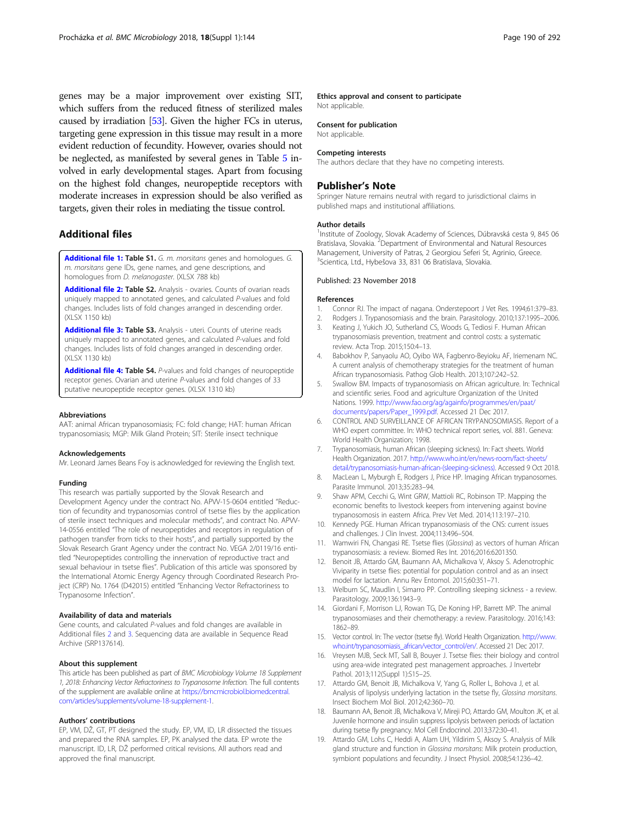<span id="page-7-0"></span>genes may be a major improvement over existing SIT, which suffers from the reduced fitness of sterilized males caused by irradiation [\[53](#page-8-0)]. Given the higher FCs in uterus, targeting gene expression in this tissue may result in a more evident reduction of fecundity. However, ovaries should not be neglected, as manifested by several genes in Table [5](#page-5-0) involved in early developmental stages. Apart from focusing on the highest fold changes, neuropeptide receptors with moderate increases in expression should be also verified as targets, given their roles in mediating the tissue control.

# Additional files

[Additional file 1:](https://doi.org/10.1186/s12866-018-1294-5) Table S1. G. m. morsitans genes and homologues. G. m. morsitans gene IDs, gene names, and gene descriptions, and homologues from D. melanogaster. (XLSX 788 kb)

[Additional file 2:](https://doi.org/10.1186/s12866-018-1294-5) Table S2. Analysis - ovaries. Counts of ovarian reads uniquely mapped to annotated genes, and calculated P-values and fold changes. Includes lists of fold changes arranged in descending order. (XLSX 1150 kb)

[Additional file 3:](https://doi.org/10.1186/s12866-018-1294-5) Table S3. Analysis - uteri. Counts of uterine reads uniquely mapped to annotated genes, and calculated P-values and fold changes. Includes lists of fold changes arranged in descending order. (XLSX 1130 kb)

[Additional file 4:](https://doi.org/10.1186/s12866-018-1294-5) Table S4. P-values and fold changes of neuropeptide receptor genes. Ovarian and uterine P-values and fold changes of 33 putative neuropeptide receptor genes. (XLSX 1310 kb)

#### Abbreviations

AAT: animal African trypanosomiasis; FC: fold change; HAT: human African trypanosomiasis; MGP: Milk Gland Protein; SIT: Sterile insect technique

#### Acknowledgements

Mr. Leonard James Beans Foy is acknowledged for reviewing the English text.

#### Funding

This research was partially supported by the Slovak Research and Development Agency under the contract No. APVV-15-0604 entitled "Reduction of fecundity and trypanosomias control of tsetse flies by the application of sterile insect techniques and molecular methods", and contract No. APVV-14-0556 entitled "The role of neuropeptides and receptors in regulation of pathogen transfer from ticks to their hosts", and partially supported by the Slovak Research Grant Agency under the contract No. VEGA 2/0119/16 entitled "Neuropeptides controlling the innervation of reproductive tract and sexual behaviour in tsetse flies". Publication of this article was sponsored by the International Atomic Energy Agency through Coordinated Research Project (CRP) No. 1764 (D42015) entitled "Enhancing Vector Refractoriness to Trypanosome Infection".

#### Availability of data and materials

Gene counts, and calculated P-values and fold changes are available in Additional files 2 and 3. Sequencing data are available in Sequence Read Archive (SRP137614).

#### About this supplement

This article has been published as part of BMC Microbiology Volume 18 Supplement 1, 2018: Enhancing Vector Refractoriness to Trypanosome Infection. The full contents of the supplement are available online at [https://bmcmicrobiol.biomedcentral.](https://bmcmicrobiol.biomedcentral.com/articles/supplements/volume-18-supplement-1) [com/articles/supplements/volume-18-supplement-1.](https://bmcmicrobiol.biomedcentral.com/articles/supplements/volume-18-supplement-1)

#### Authors' contributions

EP, VM, DŽ, GT, PT designed the study. EP, VM, ID, LR dissected the tissues and prepared the RNA samples. EP, PK analysed the data. EP wrote the manuscript. ID, LR, DŽ performed critical revisions. All authors read and approved the final manuscript.

#### Ethics approval and consent to participate

Not applicable.

# Consent for publication

Not applicable.

#### Competing interests

The authors declare that they have no competing interests.

# Publisher's Note

Springer Nature remains neutral with regard to jurisdictional claims in published maps and institutional affiliations.

#### Author details

<sup>1</sup>Institute of Zoology, Slovak Academy of Sciences, Dúbravská cesta 9, 845 06 Bratislava, Slovakia. <sup>2</sup>Department of Environmental and Natural Resources Management, University of Patras, 2 Georgiou Seferi St, Agrinio, Greece. 3 Scientica, Ltd., Hybešova 33, 831 06 Bratislava, Slovakia.

#### Published: 23 November 2018

#### References

- 1. Connor RJ. The impact of nagana. Onderstepoort J Vet Res. 1994;61:379-83.
- 2. Rodgers J. Trypanosomiasis and the brain. Parasitology. 2010;137:1995–2006.
- 3. Keating J, Yukich JO, Sutherland CS, Woods G, Tediosi F. Human African trypanosomiasis prevention, treatment and control costs: a systematic review. Acta Trop. 2015;150:4–13.
- 4. Babokhov P, Sanyaolu AO, Oyibo WA, Fagbenro-Beyioku AF, Iriemenam NC. A current analysis of chemotherapy strategies for the treatment of human African trypanosomiasis. Pathog Glob Health. 2013;107:242–52.
- 5. Swallow BM. Impacts of trypanosomiasis on African agriculture. In: Technical and scientific series. Food and agriculture Organization of the United Nations. 1999. [http://www.fao.org/ag/againfo/programmes/en/paat/](http://www.fao.org/ag/againfo/programmes/en/paat/documents/papers/Paper_1999.pdf) [documents/papers/Paper\\_1999.pdf.](http://www.fao.org/ag/againfo/programmes/en/paat/documents/papers/Paper_1999.pdf) Accessed 21 Dec 2017.
- 6. CONTROL AND SURVEILLANCE OF AFRICAN TRYPANOSOMIASIS. Report of a WHO expert committee. In: WHO technical report series, vol. 881. Geneva: World Health Organization: 1998.
- 7. Trypanosomiasis, human African (sleeping sickness). In: Fact sheets. World Health Organization. 2017. [http://www.who.int/en/news-room/fact-sheets/](http://www.who.int/en/news-room/fact-sheets/detail/trypanosomiasis-human-african-(sleeping-sickness)) [detail/trypanosomiasis-human-african-\(sleeping-sickness\).](http://www.who.int/en/news-room/fact-sheets/detail/trypanosomiasis-human-african-(sleeping-sickness)) Accessed 9 Oct 2018.
- MacLean L, Myburgh E, Rodgers J, Price HP. Imaging African trypanosomes. Parasite Immunol. 2013;35:283–94.
- 9. Shaw APM, Cecchi G, Wint GRW, Mattioli RC, Robinson TP. Mapping the economic benefits to livestock keepers from intervening against bovine trypanosomosis in eastern Africa. Prev Vet Med. 2014;113:197–210.
- 10. Kennedy PGE. Human African trypanosomiasis of the CNS: current issues and challenges. J Clin Invest. 2004;113:496–504.
- 11. Wamwiri FN, Changasi RE. Tsetse flies (Glossina) as vectors of human African trypanosomiasis: a review. Biomed Res Int. 2016;2016:6201350.
- 12. Benoit JB, Attardo GM, Baumann AA, Michalkova V, Aksoy S. Adenotrophic Viviparity in tsetse flies: potential for population control and as an insect model for lactation. Annu Rev Entomol. 2015;60:351–71.
- 13. Welburn SC, Maudlin I, Simarro PP. Controlling sleeping sickness a review. Parasitology. 2009;136:1943–9.
- 14. Giordani F, Morrison LJ, Rowan TG, De Koning HP, Barrett MP. The animal trypanosomiases and their chemotherapy: a review. Parasitology. 2016;143: 1862–89.
- 15. Vector control. In: The vector (tsetse fly). World Health Organization. [http://www.](http://www.who.int/trypanosomiasis_african/vector_control/en/) [who.int/trypanosomiasis\\_african/vector\\_control/en/.](http://www.who.int/trypanosomiasis_african/vector_control/en/) Accessed 21 Dec 2017.
- 16. Vreysen MJB, Seck MT, Sall B, Bouyer J. Tsetse flies: their biology and control using area-wide integrated pest management approaches. J Invertebr Pathol. 2013;112(Suppl 1):S15–25.
- 17. Attardo GM, Benoit JB, Michalkova V, Yang G, Roller L, Bohova J, et al. Analysis of lipolysis underlying lactation in the tsetse fly, Glossina morsitans. Insect Biochem Mol Biol. 2012;42:360–70.
- 18. Baumann AA, Benoit JB, Michalkova V, Mireji PO, Attardo GM, Moulton JK, et al. Juvenile hormone and insulin suppress lipolysis between periods of lactation during tsetse fly pregnancy. Mol Cell Endocrinol. 2013;372:30–41.
- 19. Attardo GM, Lohs C, Heddi A, Alam UH, Yildirim S, Aksoy S. Analysis of Milk gland structure and function in Glossina morsitans: Milk protein production, symbiont populations and fecundity. J Insect Physiol. 2008;54:1236–42.